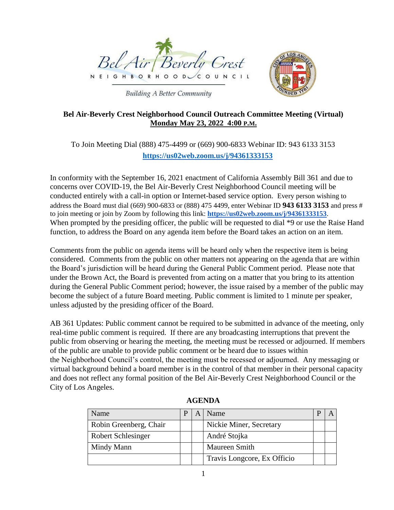



**Building A Better Community** 

# **Bel Air-Beverly Crest Neighborhood Council Outreach Committee Meeting (Virtual) Monday May 23, 2022 4:00 P.M.**

# To Join Meeting Dial (888) 475-4499 or (669) 900-6833 Webinar ID: 943 6133 3153 **<https://us02web.zoom.us/j/94361333153>**

In conformity with the September 16, 2021 enactment of California Assembly Bill 361 and due to concerns over COVID-19, the Bel Air-Beverly Crest Neighborhood Council meeting will be conducted entirely with a call-in option or Internet-based service option. Every person wishing to address the Board must dial (669) 900-6833 or (888) 475 4499, enter Webinar ID **943 6133 3153** and press # to join meeting or join by Zoom by following this link: **https://us02web.zoom.us/j/94361333153**. When prompted by the presiding officer, the public will be requested to dial  $*9$  or use the Raise Hand function, to address the Board on any agenda item before the Board takes an action on an item.

Comments from the public on agenda items will be heard only when the respective item is being considered. Comments from the public on other matters not appearing on the agenda that are within the Board's jurisdiction will be heard during the General Public Comment period. Please note that under the Brown Act, the Board is prevented from acting on a matter that you bring to its attention during the General Public Comment period; however, the issue raised by a member of the public may become the subject of a future Board meeting. Public comment is limited to 1 minute per speaker, unless adjusted by the presiding officer of the Board.

AB 361 Updates: Public comment cannot be required to be submitted in advance of the meeting, only real-time public comment is required. If there are any broadcasting interruptions that prevent the public from observing or hearing the meeting, the meeting must be recessed or adjourned. If members of the public are unable to provide public comment or be heard due to issues within the Neighborhood Council's control, the meeting must be recessed or adjourned. Any messaging or virtual background behind a board member is in the control of that member in their personal capacity and does not reflect any formal position of the Bel Air-Beverly Crest Neighborhood Council or the City of Los Angeles.

| Name                      | P | Name                        |  |
|---------------------------|---|-----------------------------|--|
| Robin Greenberg, Chair    |   | Nickie Miner, Secretary     |  |
| <b>Robert Schlesinger</b> |   | André Stojka                |  |
| Mindy Mann                |   | <b>Maureen Smith</b>        |  |
|                           |   | Travis Longcore, Ex Officio |  |

**AGENDA**